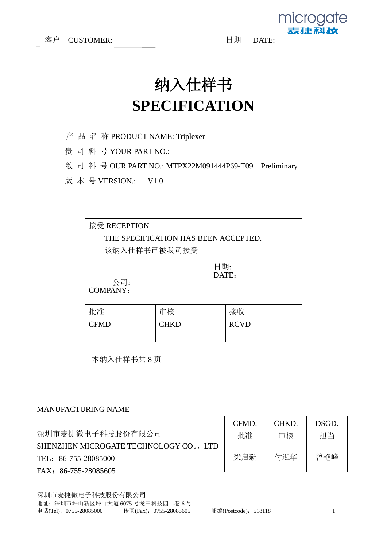microgate

动作场

### 纳入仕样书 **SPECIFICATION**

- 产 品 名 称 PRODUCT NAME: Triplexer
- 贵 司 料 号 YOUR PART NO.:

敝 司 料 号 OUR PART NO.: MTPX22M091444P69-T09 Preliminary

版 本 号 VERSION.: V1.0

| 接受 RECEPTION                       |                                      |  |  |  |  |  |
|------------------------------------|--------------------------------------|--|--|--|--|--|
|                                    | THE SPECIFICATION HAS BEEN ACCEPTED. |  |  |  |  |  |
| 该纳入仕样书已被我司接受                       |                                      |  |  |  |  |  |
| 日期:<br>DATE:<br>公司:<br>COMPANY:    |                                      |  |  |  |  |  |
| 接收<br>批准<br>审核                     |                                      |  |  |  |  |  |
| <b>RCVD</b><br><b>CFMD</b><br>CHKD |                                      |  |  |  |  |  |
|                                    |                                      |  |  |  |  |  |

本纳入仕样书共 8 页

#### MANUFACTURING NAME

|                                        | CFMD. | CHKD. | DSGD. |
|----------------------------------------|-------|-------|-------|
| 深圳市麦捷微电子科技股份有限公司                       | 批准    | 审核    | 担当    |
| SHENZHEN MICROGATE TECHNOLOGY CO., LTD |       |       |       |
| TEL: 86-755-28085000                   | 梁启新   | 付迎华   | 曾艳峰   |
| FAX: 86-755-28085605                   |       |       |       |

深圳市麦捷微电子科技股份有限公司 地址:深圳市坪山新区坪山大道 6075 号龙田科技园二巷 6 号 电话(Tel): 0755-28085000 传真(Fax): 0755-28085605 邮编(Postcode): 518118 1 1

 $\Gamma$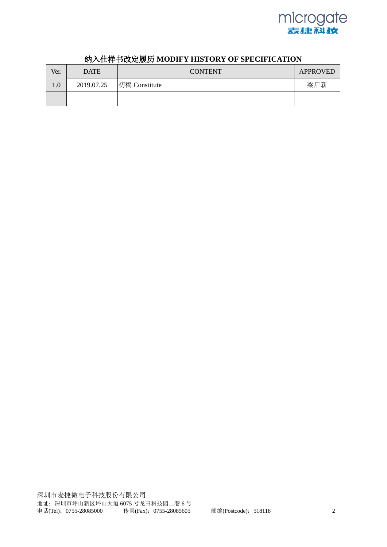

| Ver.    | <b>DATE</b> | <b>CONTENT</b> | APPROVED |
|---------|-------------|----------------|----------|
| $1.0\,$ | 2019.07.25  | 初稿 Constitute  | 梁启新      |
|         |             |                |          |

#### 纳入仕样书改定履历 **MODIFY HISTORY OF SPECIFICATION**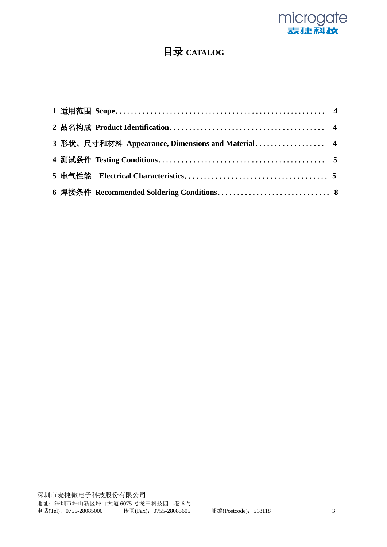

### 目录 **CATALOG**

| 3 形状、尺寸和材料 Appearance, Dimensions and Material 4 |  |
|--------------------------------------------------|--|
|                                                  |  |
|                                                  |  |
| 6 焊接条件 Recommended Soldering Conditions 8        |  |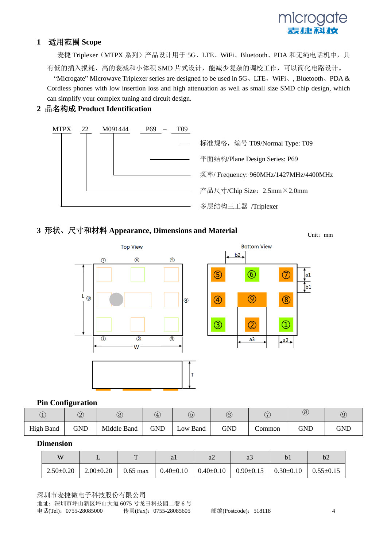# microaate

#### **1** 适用范围 **Scope**

麦捷 Triplexer (MTPX 系列)产品设计用于 5G、LTE、WiFi、Bluetooth、PDA 和无绳电话机中, 具 有低的插入损耗、高的衰减和小体积 SMD 片式设计,能减少复杂的调校工作,可以简化电路设计。 "Microgate" Microwave Triplexer series are designed to be used in 5G、LTE、WiFi、, Bluetooth、PDA & Cordless phones with low insertion loss and high attenuation as well as small size SMD chip design, which

**2** 品名构成 **Product Identification**

can simplify your complex tuning and circuit design.



#### **3** 形状、尺寸和材料 **Appearance, Dimensions and Material**

Unit:mm



#### **Pin Configuration**

| Ċ                | $\circled{2}$ | $\circledS$ | $\overline{\mathfrak{A}}$ | ∕<br>G            | $\widehat{6}$ | $\overline{\phantom{a}}$<br>$\widetilde{\phantom{a}}$ | $^{\circledR}$ | @   |
|------------------|---------------|-------------|---------------------------|-------------------|---------------|-------------------------------------------------------|----------------|-----|
| <b>High Band</b> | GND           | Middle Band | <b>GND</b>                | $\text{Low Band}$ | <b>GND</b>    | Common                                                | GND            | GND |

#### **Dimension**

| W)              |               |            | al | $a\angle$                       |                                 | b2              |
|-----------------|---------------|------------|----|---------------------------------|---------------------------------|-----------------|
| $2.50 \pm 0.20$ | $2.00 - 0.20$ | $0.65$ max |    | $0.40 \pm 0.10$ $0.40 \pm 0.10$ | $0.90 \pm 0.15$ $0.30 \pm 0.10$ | $0.55 \pm 0.15$ |

深圳市麦捷微电子科技股份有限公司 地址:深圳市坪山新区坪山大道 6075 号龙田科技园二巷 6 号 电话(Tel): 0755-28085000 传真(Fax): 0755-28085605 邮编(Postcode): 518118 4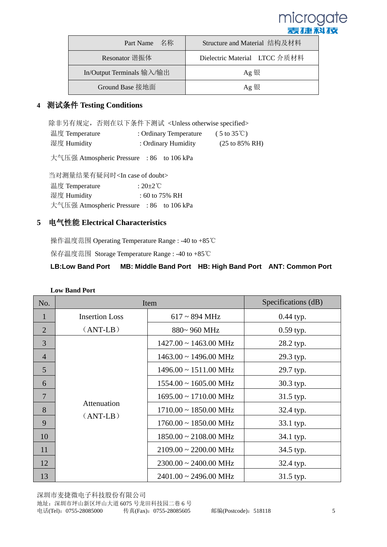

| Part Name 名称              | Structure and Material 结构及材料  |  |
|---------------------------|-------------------------------|--|
| Resonator 谐振体             | Dielectric Material LTCC 介质材料 |  |
| In/Output Terminals 输入/输出 | Ag 银                          |  |
| Ground Base 接地面           | Ag 银                          |  |

#### **4** 测试条件 **Testing Conditions**

除非另有规定,否则在以下条件下测试 <Unless otherwise specified>

| 温度 Temperature | : Ordinary Temperature | $(5 \text{ to } 35 \text{°C})$     |
|----------------|------------------------|------------------------------------|
| 湿度 Humidity    | : Ordinary Humidity    | $(25 \text{ to } 85\% \text{ RH})$ |

大气压强 Atmospheric Pressure : 86 to 106 kPa

当对测量结果有疑问时<In case of doubt> 温度 Temperature : 20±2℃ 湿度 Humidity : 60 to 75% RH 大气压强 Atmospheric Pressure : 86 to 106 kPa

#### **5** 电气性能 **Electrical Characteristics**

操作温度范围 Operating Temperature Range : -40 to +85℃

保存温度范围 Storage Temperature Range : -40 to +85℃

#### **LB:Low Band Port MB: Middle Band Port HB: High Band Port ANT: Common Port**

| No.            | Item                      | Specifications (dB)                   |             |
|----------------|---------------------------|---------------------------------------|-------------|
| $\mathbf{1}$   | <b>Insertion Loss</b>     | $617 \sim 894 \text{ MHz}$            | $0.44$ typ. |
| 2              | $(ANT-LB)$                | 880~960 MHz                           | 0.59 typ.   |
| 3              |                           | $1427.00 \sim 1463.00 \text{ MHz}$    | 28.2 typ.   |
| $\overline{4}$ |                           | $1463.00 \sim 1496.00 \text{ MHz}$    | 29.3 typ.   |
| 5              |                           | $1496.00 \sim 1511.00 \text{ MHz}$    | 29.7 typ.   |
| 6              |                           | $1554.00 \sim 1605.00 \text{ MHz}$    | 30.3 typ.   |
| $\overline{7}$ |                           | $1695.00 \sim 1710.00 \text{ MHz}$    | 31.5 typ.   |
| 8              | Attenuation<br>$(ANT-LB)$ | $1710.00 \sim 1850.00 \text{ MHz}$    | 32.4 typ.   |
| 9              |                           | $1760.00 \sim 1850.00 \text{ MHz}$    | 33.1 typ.   |
| 10             |                           | $1850.00 \sim 2108.00 \text{ MHz}$    | 34.1 typ.   |
| 11             |                           | $2109.00 \approx 2200.00 \text{ MHz}$ | 34.5 typ.   |
| 12             |                           | $2300.00 \sim 2400.00 \text{ MHz}$    | 32.4 typ.   |
| 13             |                           | $2401.00 \approx 2496.00 \text{ MHz}$ | 31.5 typ.   |

#### **Low Band Port**

深圳市麦捷微电子科技股份有限公司 地址:深圳市坪山新区坪山大道 6075 号龙田科技园二巷 6 号 电话(Tel):0755-28085000 传真(Fax):0755-28085605 邮编(Postcode):518118 5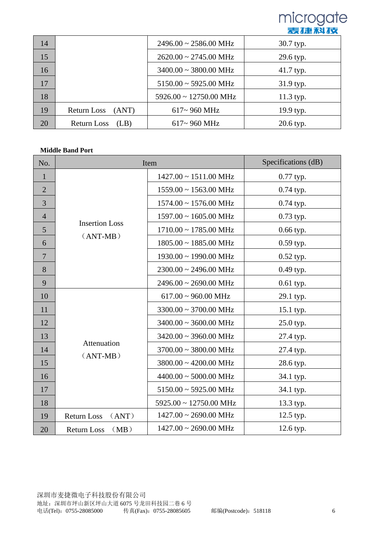

| 14 |                            | $2496.00 \sim 2586.00 \text{ MHz}$    | 30.7 typ. |
|----|----------------------------|---------------------------------------|-----------|
| 15 |                            | $2620.00 \approx 2745.00 \text{ MHz}$ | 29.6 typ. |
| 16 |                            | $3400.00 \sim 3800.00 \text{ MHz}$    | 41.7 typ. |
| 17 |                            | $5150.00 \sim 5925.00 \text{ MHz}$    | 31.9 typ. |
| 18 |                            | $5926.00 \sim 12750.00 \text{ MHz}$   | 11.3 typ. |
| 19 | Return Loss<br>(ANT)       | 617~960 MHz                           | 19.9 typ. |
| 20 | <b>Return Loss</b><br>(LB) | $617 - 960$ MHz                       | 20.6 typ. |

#### **Middle Band Port**

| No.            |                             | Item                                  | Specifications (dB) |
|----------------|-----------------------------|---------------------------------------|---------------------|
| $\mathbf{1}$   |                             | $1427.00 \sim 1511.00 \text{ MHz}$    | 0.77 typ.           |
| $\overline{2}$ |                             | $1559.00 \sim 1563.00 \text{ MHz}$    | 0.74 typ.           |
| 3              |                             | $1574.00 \sim 1576.00 \text{ MHz}$    | 0.74 typ.           |
| $\overline{4}$ |                             | $1597.00 \sim 1605.00 \text{ MHz}$    | 0.73 typ.           |
| 5              | <b>Insertion Loss</b>       | $1710.00 \sim 1785.00 \text{ MHz}$    | 0.66 typ.           |
| 6              | $(ANT-MB)$                  | $1805.00 \sim 1885.00 \text{ MHz}$    | 0.59 typ.           |
| $\overline{7}$ |                             | $1930.00 \sim 1990.00 \text{ MHz}$    | 0.52 typ.           |
| 8              |                             | $2300.00 \sim 2496.00 \text{ MHz}$    | 0.49 typ.           |
| 9              |                             | $2496.00 \approx 2690.00 \text{ MHz}$ | 0.61 typ.           |
| 10             |                             | $617.00 \sim 960.00 \text{ MHz}$      | 29.1 typ.           |
| 11             |                             | $3300.00 \sim 3700.00 \text{ MHz}$    | 15.1 typ.           |
| 12             |                             | $3400.00 \sim 3600.00 \text{ MHz}$    | 25.0 typ.           |
| 13             |                             | $3420.00 \sim 3960.00 \text{ MHz}$    | 27.4 typ.           |
| 14             | Attenuation<br>$(ANT-MB)$   | $3700.00 \sim 3800.00 \text{ MHz}$    | 27.4 typ.           |
| 15             |                             | $3800.00 \sim 4200.00 \text{ MHz}$    | 28.6 typ.           |
| 16             |                             | $4400.00 \sim 5000.00 \text{ MHz}$    | 34.1 typ.           |
| 17             |                             | $5150.00 \sim 5925.00 \text{ MHz}$    | 34.1 typ.           |
| 18             |                             | $5925.00 \sim 12750.00 \text{ MHz}$   | 13.3 typ.           |
| 19             | <b>Return Loss</b><br>(ANT) | $1427.00 \sim 2690.00 \text{ MHz}$    | 12.5 typ.           |
| 20             | (MB)<br><b>Return Loss</b>  | $1427.00 \sim 2690.00 \text{ MHz}$    | 12.6 typ.           |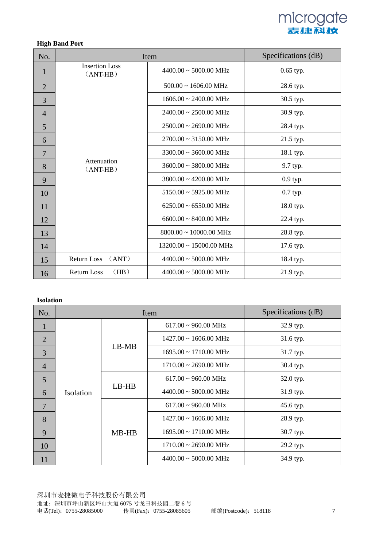

#### **High Band Port**

| No.            | Item                                |                                       | Specifications (dB) |
|----------------|-------------------------------------|---------------------------------------|---------------------|
| $\mathbf{1}$   | <b>Insertion Loss</b><br>$(ANT-HB)$ | $4400.00 \approx 5000.00 \text{ MHz}$ | $0.65$ typ.         |
| $\overline{2}$ |                                     | $500.00 \sim 1606.00 \text{ MHz}$     | 28.6 typ.           |
| 3              |                                     | $1606.00 \sim 2400.00 \text{ MHz}$    | 30.5 typ.           |
| $\overline{4}$ |                                     | $2400.00 \sim 2500.00 \text{ MHz}$    | 30.9 typ.           |
| 5              |                                     | $2500.00 \sim 2690.00 \text{ MHz}$    | 28.4 typ.           |
| 6              |                                     | $2700.00 \sim 3150.00 \text{ MHz}$    | 21.5 typ.           |
| $\overline{7}$ | Attenuation<br>$(ANT-HB)$           | $3300.00 \approx 3600.00 \text{ MHz}$ | 18.1 typ.           |
| 8              |                                     | $3600.00 \sim 3800.00 \text{ MHz}$    | 9.7 typ.            |
| 9              |                                     | $3800.00 \sim 4200.00 \text{ MHz}$    | 0.9 typ.            |
| 10             |                                     | $5150.00 \approx 5925.00 \text{ MHz}$ | $0.7$ typ.          |
| 11             |                                     | $6250.00 \sim 6550.00 \text{ MHz}$    | 18.0 typ.           |
| 12             |                                     | $6600.00 \sim 8400.00 \text{ MHz}$    | 22.4 typ.           |
| 13             |                                     | $8800.00 \sim 10000.00 \text{ MHz}$   | 28.8 typ.           |
| 14             |                                     | $13200.00 \sim 15000.00 \text{ MHz}$  | 17.6 typ.           |
| 15             | <b>Return Loss</b><br>(ANT)         | $4400.00 \approx 5000.00 \text{ MHz}$ | 18.4 typ.           |
| 16             | (HB)<br><b>Return Loss</b>          | $4400.00 \approx 5000.00 \text{ MHz}$ | 21.9 typ.           |

#### **Isolation**

| No.            | Item      |         | Specifications (dB)                   |           |
|----------------|-----------|---------|---------------------------------------|-----------|
| 1              | Isolation | $LB-MB$ | $617.00 \sim 960.00 \text{ MHz}$      | 32.9 typ. |
| 2              |           |         | $1427.00 \sim 1606.00 \text{ MHz}$    | 31.6 typ. |
| $\overline{3}$ |           |         | $1695.00 \sim 1710.00 \text{ MHz}$    | 31.7 typ. |
| $\overline{4}$ |           |         | $1710.00 \sim 2690.00 \text{ MHz}$    | 30.4 typ. |
| 5              |           | $LB-HB$ | $617.00 \sim 960.00 \text{ MHz}$      | 32.0 typ. |
| 6              |           |         | $4400.00 \approx 5000.00 \text{ MHz}$ | 31.9 typ. |
| $\overline{7}$ |           | $MB-HB$ | $617.00 \sim 960.00 \text{ MHz}$      | 45.6 typ. |
| 8              |           |         | $1427.00 \sim 1606.00 \text{ MHz}$    | 28.9 typ. |
| 9              |           |         | $1695.00 \sim 1710.00 \text{ MHz}$    | 30.7 typ. |
| 10             |           |         | $1710.00 \sim 2690.00 \text{ MHz}$    | 29.2 typ. |
| 11             |           |         | $4400.00 \approx 5000.00 \text{ MHz}$ | 34.9 typ. |